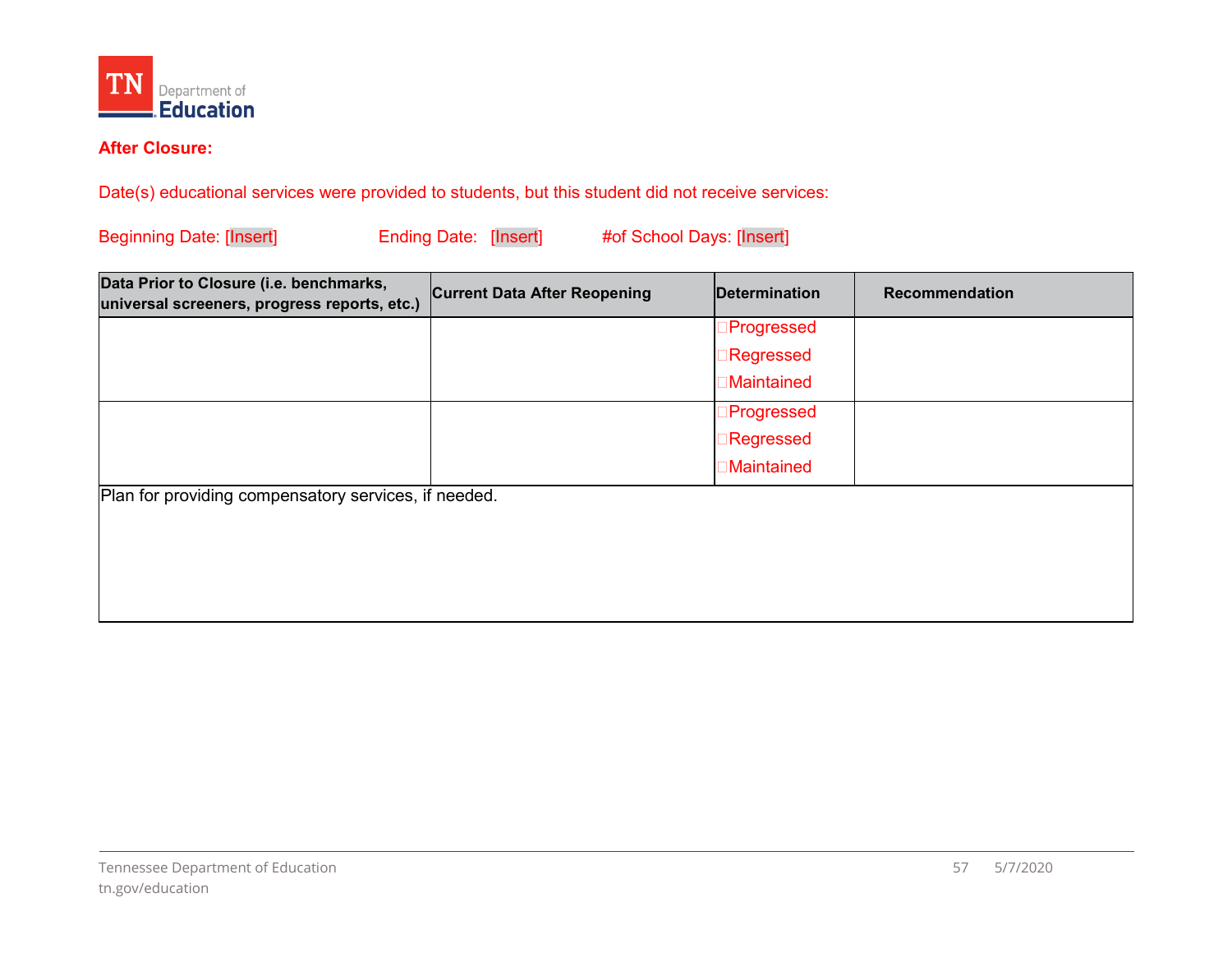

## **After Closure:**

Date(s) educational services were provided to students, but this student did not receive services:<br>Beginning Date: [Insert] Ending Date: [Insert] #of School Days: [Insert] **Beginning Date: [Insert]** 

| Data Prior to Closure (i.e. benchmarks,<br>universal screeners, progress reports, etc.) | <b>Current Data After Reopening</b> | Determination      | Recommendation |  |
|-----------------------------------------------------------------------------------------|-------------------------------------|--------------------|----------------|--|
|                                                                                         |                                     | ∃Progressed        |                |  |
|                                                                                         |                                     | ∃Regressed         |                |  |
|                                                                                         |                                     | <b>Maintained</b>  |                |  |
|                                                                                         |                                     | ∃Progressed        |                |  |
|                                                                                         |                                     | ∃Regressed         |                |  |
|                                                                                         |                                     | <b>∃Maintained</b> |                |  |
| Plan for providing compensatory services, if needed.                                    |                                     |                    |                |  |
|                                                                                         |                                     |                    |                |  |
|                                                                                         |                                     |                    |                |  |
|                                                                                         |                                     |                    |                |  |
|                                                                                         |                                     |                    |                |  |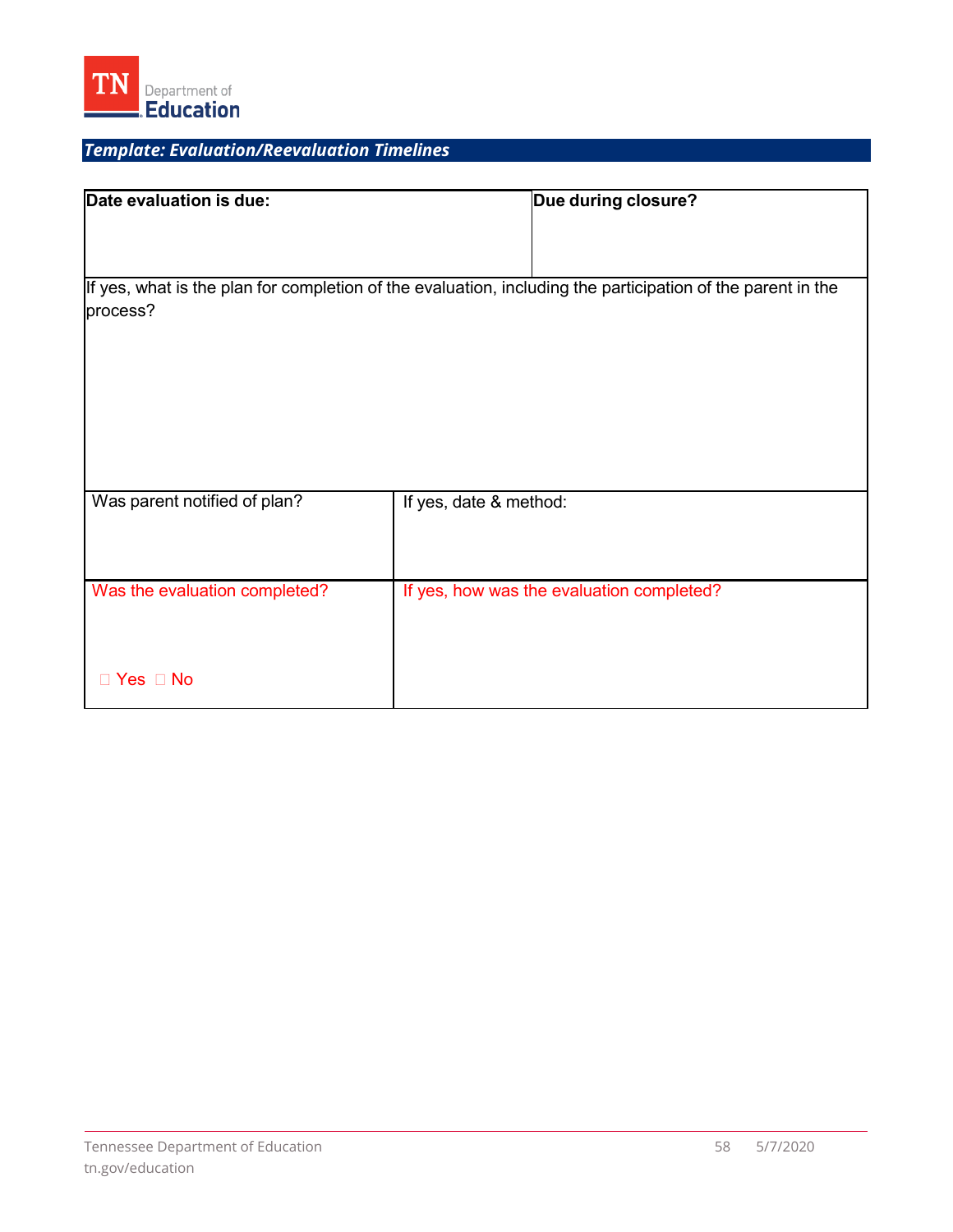

# *Template: Evaluation/Reevaluation Timelines*

| Date evaluation is due:                                                                                                 |                        | Due during closure?                       |  |  |
|-------------------------------------------------------------------------------------------------------------------------|------------------------|-------------------------------------------|--|--|
|                                                                                                                         |                        |                                           |  |  |
|                                                                                                                         |                        |                                           |  |  |
| If yes, what is the plan for completion of the evaluation, including the participation of the parent in the<br>process? |                        |                                           |  |  |
|                                                                                                                         |                        |                                           |  |  |
|                                                                                                                         |                        |                                           |  |  |
|                                                                                                                         |                        |                                           |  |  |
| Was parent notified of plan?                                                                                            | If yes, date & method: |                                           |  |  |
|                                                                                                                         |                        |                                           |  |  |
| Was the evaluation completed?                                                                                           |                        | If yes, how was the evaluation completed? |  |  |
|                                                                                                                         |                        |                                           |  |  |
| $\Box$ Yes $\Box$ No                                                                                                    |                        |                                           |  |  |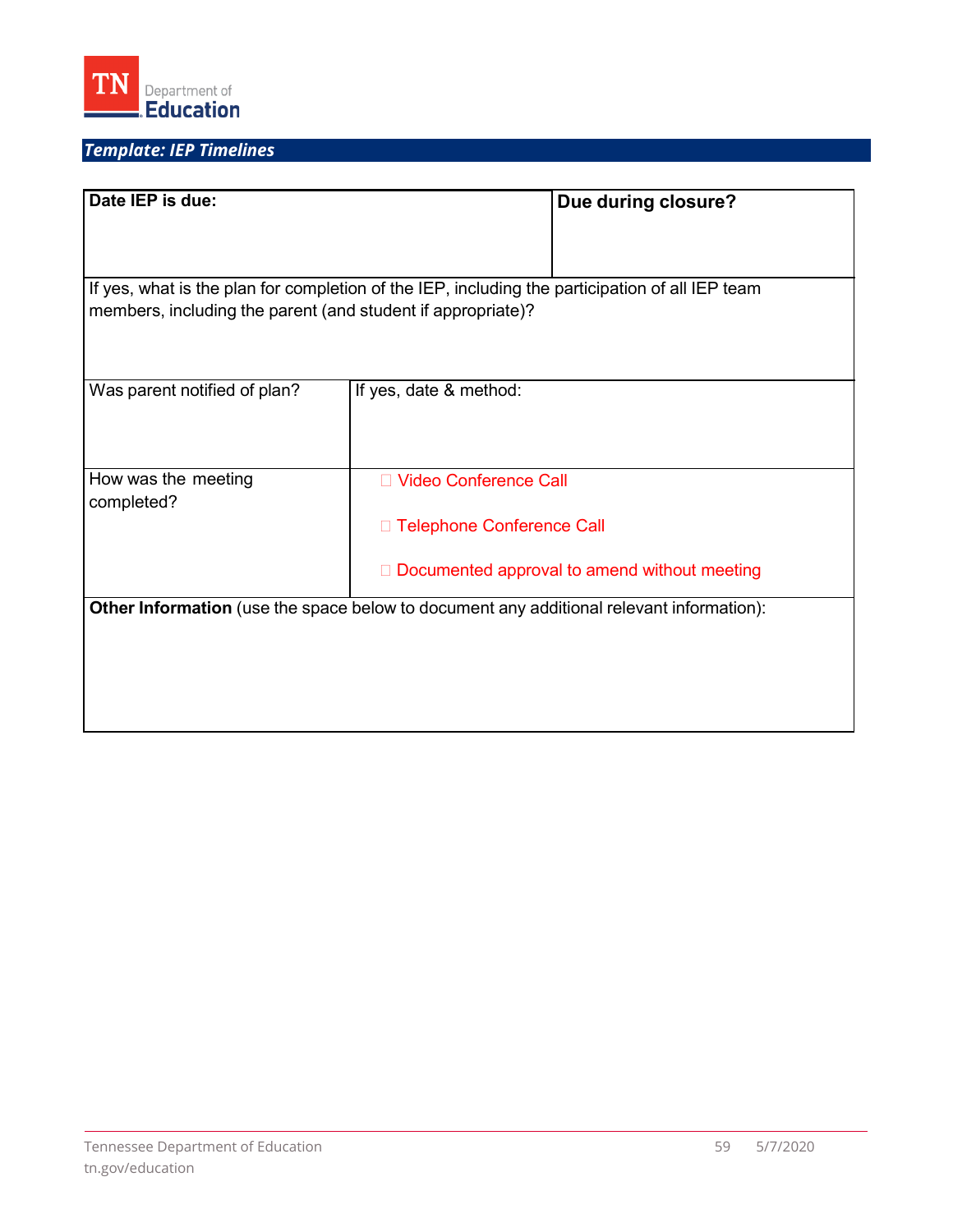

# *Template: IEP Timelines*

| Date IEP is due:                                                                                |                             | Due during closure?                            |  |  |
|-------------------------------------------------------------------------------------------------|-----------------------------|------------------------------------------------|--|--|
|                                                                                                 |                             |                                                |  |  |
| If yes, what is the plan for completion of the IEP, including the participation of all IEP team |                             |                                                |  |  |
| members, including the parent (and student if appropriate)?                                     |                             |                                                |  |  |
|                                                                                                 |                             |                                                |  |  |
| Was parent notified of plan?                                                                    | If yes, date & method:      |                                                |  |  |
|                                                                                                 |                             |                                                |  |  |
| How was the meeting                                                                             | □ Video Conference Call     |                                                |  |  |
| completed?                                                                                      | □ Telephone Conference Call |                                                |  |  |
|                                                                                                 |                             | □ Documented approval to amend without meeting |  |  |
| <b>Other Information</b> (use the space below to document any additional relevant information): |                             |                                                |  |  |
|                                                                                                 |                             |                                                |  |  |
|                                                                                                 |                             |                                                |  |  |
|                                                                                                 |                             |                                                |  |  |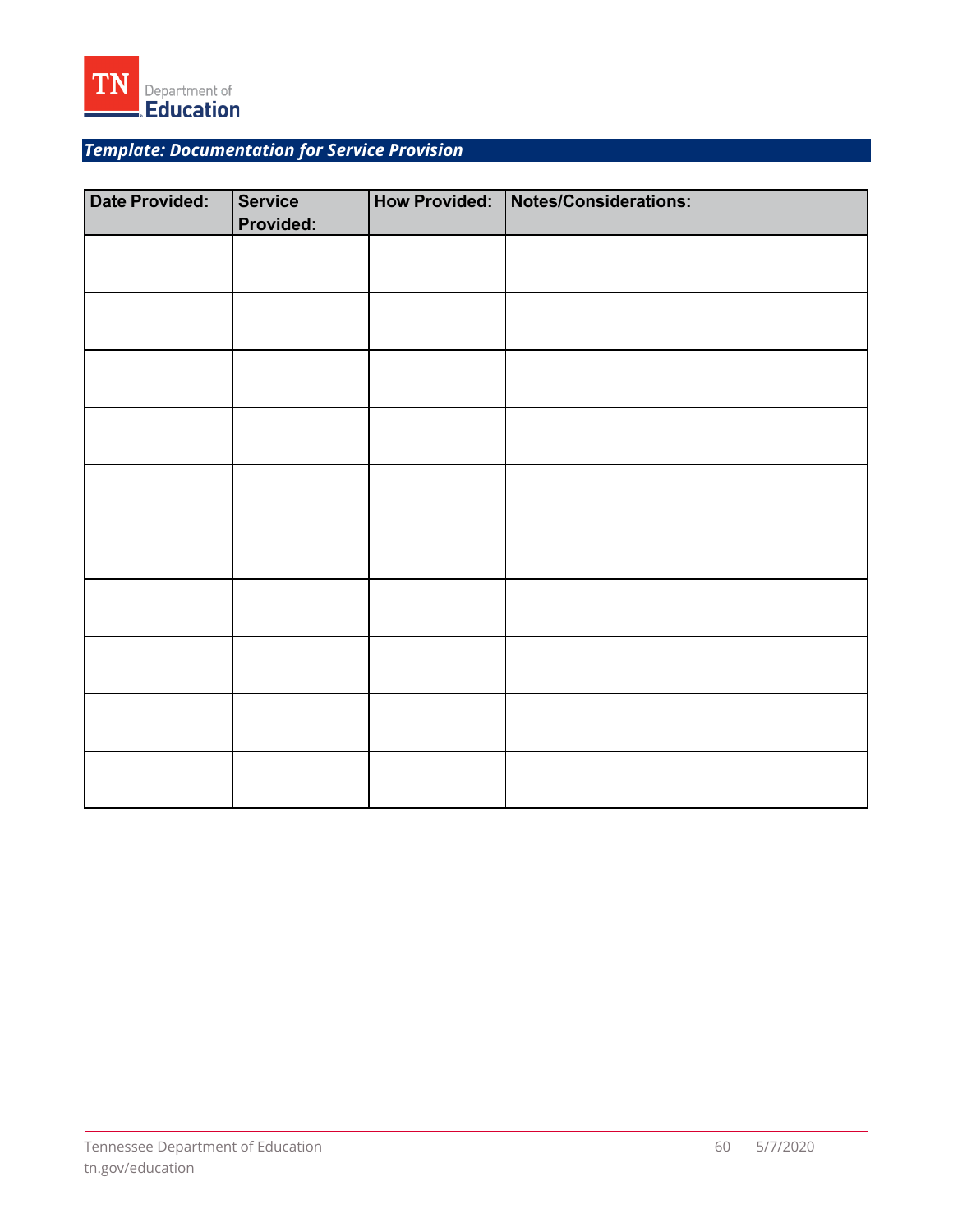

*Template: Documentation for Service Provision* 

| <b>Date Provided:</b> | <b>Service</b><br>Provided: | How Provided: Notes/Considerations: |
|-----------------------|-----------------------------|-------------------------------------|
|                       |                             |                                     |
|                       |                             |                                     |
|                       |                             |                                     |
|                       |                             |                                     |
|                       |                             |                                     |
|                       |                             |                                     |
|                       |                             |                                     |
|                       |                             |                                     |
|                       |                             |                                     |
|                       |                             |                                     |